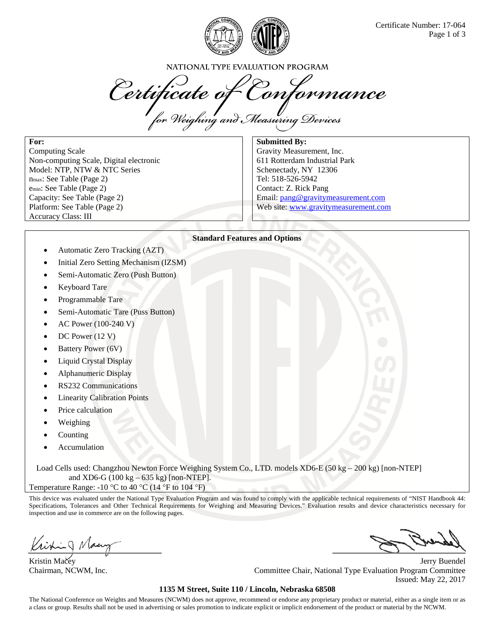

NATIONAL TYPE EVALUATION PROGRAM

Certificate of Conformance<br>for Weighing and Measuring Devices

**For:** 

Computing Scale Non-computing Scale, Digital electronic Model: NTP, NTW & NTC Series nmax: See Table (Page 2) emin: See Table (Page 2) Capacity: See Table (Page 2) Platform: See Table (Page 2) Accuracy Class: III

**Submitted By:** 

Gravity Measurement, Inc. 611 Rotterdam Industrial Park Schenectady, NY 12306 Tel: 518-526-5942 Contact: Z. Rick Pang Email: pang@gravitymeasurement.com Web site: www.gravitymeasurement.com

### **Standard Features and Options**

- Automatic Zero Tracking (AZT)
- Initial Zero Setting Mechanism (IZSM)
- Semi-Automatic Zero (Push Button)
- Keyboard Tare
- Programmable Tare
- Semi-Automatic Tare (Puss Button)
- AC Power (100-240 V)
- DC Power (12 V)
- Battery Power (6V)
- Liquid Crystal Display
- Alphanumeric Display
- RS232 Communications
- Linearity Calibration Points
- Price calculation
- Weighing
- Counting
- Accumulation

Load Cells used: Changzhou Newton Force Weighing System Co., LTD. models XD6-E (50 kg – 200 kg) [non-NTEP] and XD6-G (100 kg –  $635$  kg) [non-NTEP].

Temperature Range: -10  $\rm{^{\circ}C}$  to 40  $\rm{^{\circ}C}$  (14  $\rm{^{\circ}F}$  to 104  $\rm{^{\circ}F}$ )

This device was evaluated under the National Type Evaluation Program and was found to comply with the applicable technical requirements of "NIST Handbook 44: Specifications, Tolerances and Other Technical Requirements for Weighing and Measuring Devices." Evaluation results and device characteristics necessary for inspection and use in commerce are on the following pages.

Kristin Macey Jerry Buendel Chairman, NCWM, Inc. Committee Chair, National Type Evaluation Program Committee Issued: May 22, 2017

#### **1135 M Street, Suite 110 / Lincoln, Nebraska 68508**

The National Conference on Weights and Measures (NCWM) does not approve, recommend or endorse any proprietary product or material, either as a single item or as a class or group. Results shall not be used in advertising or sales promotion to indicate explicit or implicit endorsement of the product or material by the NCWM.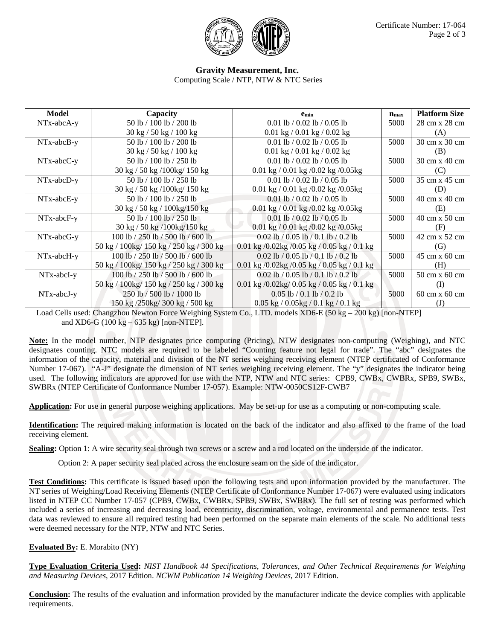

## **Gravity Measurement, Inc.**

Computing Scale / NTP, NTW & NTC Series

| Model        | Capacity                                  | <b>e</b> <sub>min</sub>                               | $n_{\rm max}$ | <b>Platform Size</b>                 |
|--------------|-------------------------------------------|-------------------------------------------------------|---------------|--------------------------------------|
| NTx-abcA-y   | 50 lb / 100 lb / 200 lb                   | 0.01 lb / 0.02 lb / 0.05 lb                           | 5000          | 28 cm x 28 cm                        |
|              | 30 kg / 50 kg / 100 kg                    | $0.01 \text{ kg} / 0.01 \text{ kg} / 0.02 \text{ kg}$ |               | (A)                                  |
| NTx-abcB-y   | 50 lb / 100 lb / 200 lb                   | 0.01 lb / 0.02 lb / 0.05 lb                           | 5000          | 30 cm x 30 cm                        |
|              | 30 kg / 50 kg / 100 kg                    | $0.01 \text{ kg} / 0.01 \text{ kg} / 0.02 \text{ kg}$ |               | (B)                                  |
| $NTx-abcC-y$ | 50 lb / 100 lb / 250 lb                   | 0.01 lb / 0.02 lb / 0.05 lb                           | 5000          | 30 cm x 40 cm                        |
|              | 30 kg / 50 kg / 100 kg / 150 kg           | 0.01 kg $/$ 0.01 kg $/$ 0.02 kg $/$ 0.05 kg           |               | (C)                                  |
| $NTx-abcD-y$ | 50 lb / 100 lb / 250 lb                   | 0.01 lb / 0.02 lb / 0.05 lb                           | 5000          | 35 cm x 45 cm                        |
|              | 30 kg / 50 kg / 100 kg / 150 kg           | 0.01 kg $/$ 0.01 kg $/$ 0.02 kg $/$ 0.05 kg           |               | (D)                                  |
| $NTx-abcE-y$ | 50 lb / 100 lb / 250 lb                   | 0.01 lb / 0.02 lb / 0.05 lb                           | 5000          | 40 cm x 40 cm                        |
|              | 30 kg / 50 kg / 100 kg/150 kg             | 0.01 kg $/$ 0.01 kg $/$ 0.02 kg $/$ 0.05 kg           |               | (E)                                  |
| NTx-abcF-y   | 50 lb / 100 lb / 250 lb                   | 0.01 lb / 0.02 lb / 0.05 lb                           | 5000          | 40 cm x 50 cm                        |
|              | $30 \text{ kg}$ / 50 kg /100kg/150 kg     | 0.01 kg / 0.01 kg / 0.02 kg / 0.05 kg                 |               | (F)                                  |
| NTx-abcG-y   | 100 lb $/$ 250 lb $/$ 500 lb $/$ 600 lb   | 0.02 lb / 0.05 lb / 0.1 lb / 0.2 lb                   | 5000          | 42 cm x 52 cm                        |
|              | 50 kg / 100kg/ 150 kg / 250 kg / 300 kg   | 0.01 kg /0.02kg /0.05 kg / 0.05 kg / 0.1 kg           |               | (G)                                  |
| NTx-abcH-y   | 100 lb / 250 lb / 500 lb / 600 lb         | 0.02 lb / 0.05 lb / 0.1 lb / 0.2 lb                   | 5000          | 45 cm x 60 cm                        |
|              | 50 kg / 100kg/ 150 kg / 250 kg / 300 kg   | 0.01 kg /0.02kg /0.05 kg / 0.05 kg / 0.1 kg           |               | (H)                                  |
| $NTx-abcI-y$ | 100 lb / 250 lb / 500 lb / 600 lb         | $0.02$ lb / 0.05 lb / 0.1 lb / 0.2 lb                 | 5000          | 50 cm x 60 cm                        |
|              | 50 kg / 100 kg / 150 kg / 250 kg / 300 kg | 0.01 kg /0.02kg/ 0.05 kg / 0.05 kg / 0.1 kg           |               | (I)                                  |
| $NTx-abcJ-y$ | 250 lb / 500 lb / 1000 lb                 | $0.05$ lb / 0.1 lb / 0.2 lb                           | 5000          | $60 \text{ cm} \times 60 \text{ cm}$ |
|              | 150 kg /250kg/ 300 kg / 500 kg            | $0.05$ kg $/0.05$ kg $/0.1$ kg $/0.1$ kg              |               | (J)                                  |

Load Cells used: Changzhou Newton Force Weighing System Co., LTD. models XD6-E (50 kg – 200 kg) [non-NTEP] and XD6-G (100 kg – 635 kg) [non-NTEP].

**Note:** In the model number, NTP designates price computing (Pricing), NTW designates non-computing (Weighing), and NTC designates counting. NTC models are required to be labeled "Counting feature not legal for trade". The "abc" designates the information of the capacity, material and division of the NT series weighing receiving element (NTEP certificated of Conformance Number 17-067). "A-J" designate the dimension of NT series weighing receiving element. The "y" designates the indicator being used. The following indicators are approved for use with the NTP, NTW and NTC series: CPB9, CWBx, CWBRx, SPB9, SWBx, SWBRx (NTEP Certificate of Conformance Number 17-057). Example: NTW-0050CS12F-CWB7

**Application:** For use in general purpose weighing applications. May be set-up for use as a computing or non-computing scale.

**Identification:** The required making information is located on the back of the indicator and also affixed to the frame of the load receiving element.

**Sealing:** Option 1: A wire security seal through two screws or a screw and a rod located on the underside of the indicator.

Option 2: A paper security seal placed across the enclosure seam on the side of the indicator.

**Test Conditions:** This certificate is issued based upon the following tests and upon information provided by the manufacturer. The NT series of Weighing/Load Receiving Elements (NTEP Certificate of Conformance Number 17-067) were evaluated using indicators listed in NTEP CC Number 17-057 (CPB9, CWBx, CWBRx, SPB9, SWBx, SWBRx). The full set of testing was performed which included a series of increasing and decreasing load, eccentricity, discrimination, voltage, environmental and permanence tests. Test data was reviewed to ensure all required testing had been performed on the separate main elements of the scale. No additional tests were deemed necessary for the NTP, NTW and NTC Series.

**Evaluated By:** E. Morabito (NY)

**Type Evaluation Criteria Used:** *NIST Handbook 44 Specifications, Tolerances, and Other Technical Requirements for Weighing and Measuring Devices*, 2017 Edition. *NCWM Publication 14 Weighing Devices*, 2017 Edition.

**Conclusion:** The results of the evaluation and information provided by the manufacturer indicate the device complies with applicable requirements.